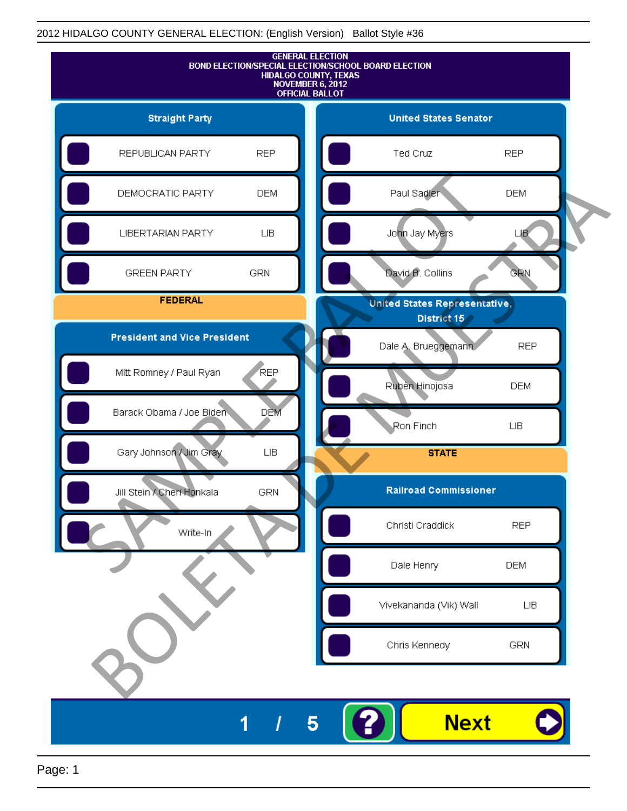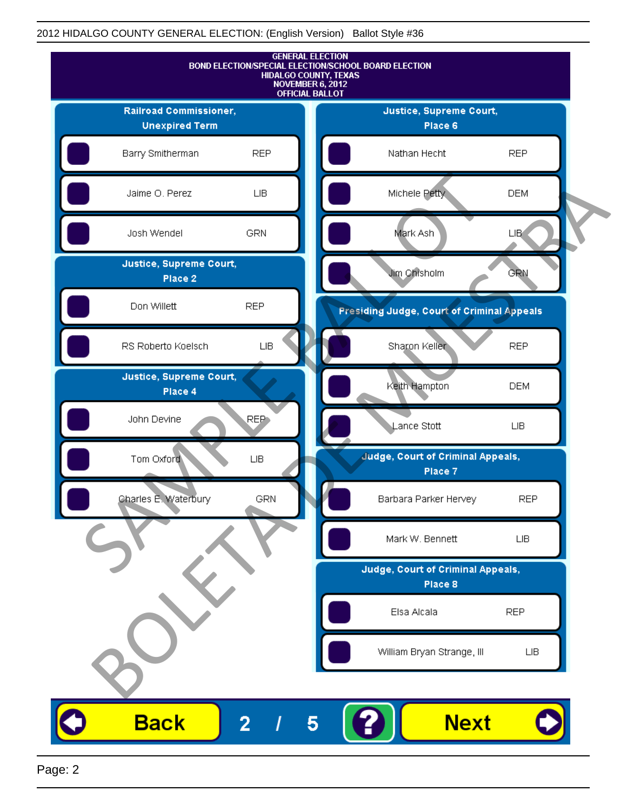

Page: 2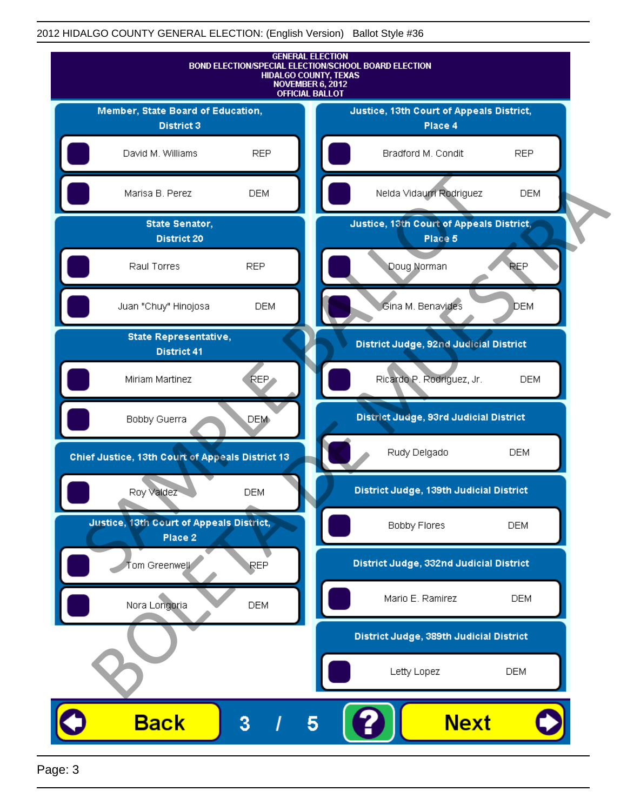

Page: 3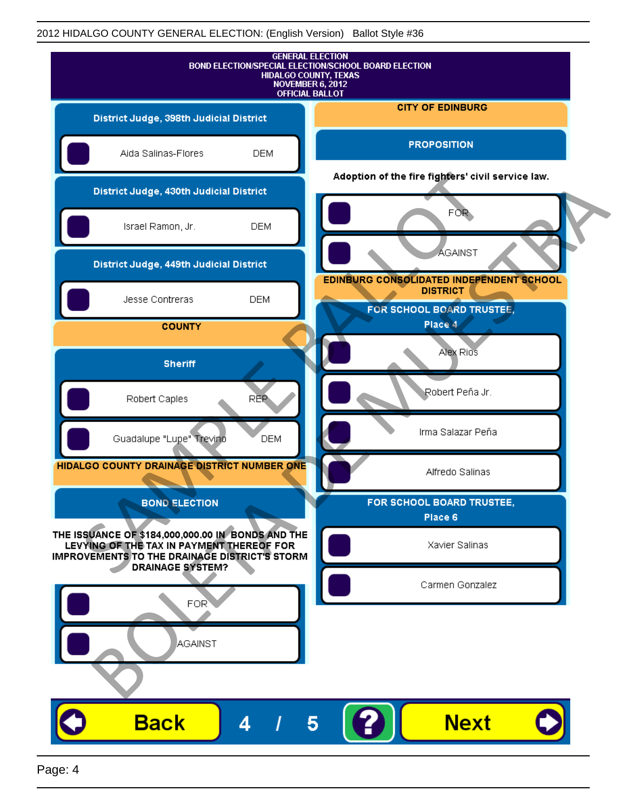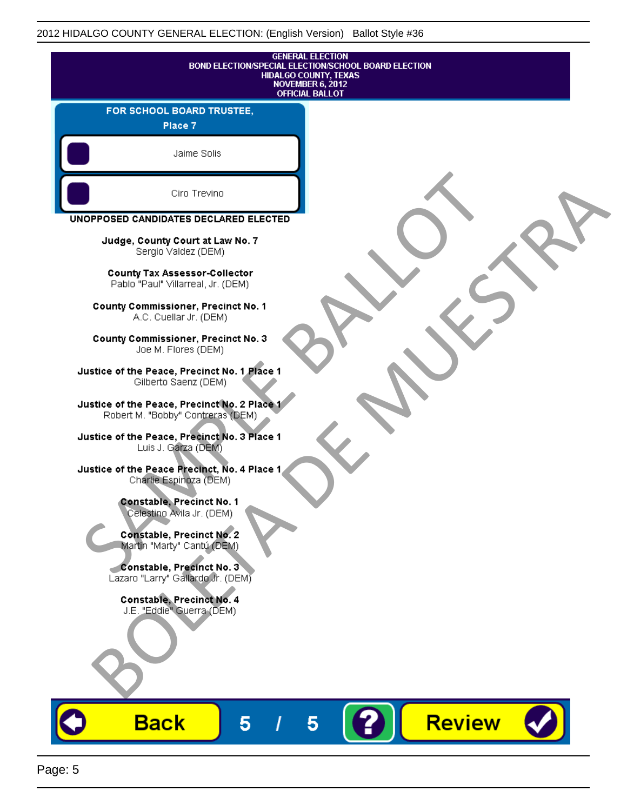v

| <b>GENERAL ELECTION</b><br>BOND ELECTION/SPECIAL ELECTION/SCHOOL BOARD ELECTION<br><b>HIDALGO COUNTY, TEXAS</b><br><b>NOVEMBER 6, 2012</b><br><b>OFFICIAL BALLOT</b> |  |
|----------------------------------------------------------------------------------------------------------------------------------------------------------------------|--|
| FOR SCHOOL BOARD TRUSTEE,<br>Place 7                                                                                                                                 |  |
| Jaime Solis                                                                                                                                                          |  |
| Ciro Trevino                                                                                                                                                         |  |
| UNOPPOSED CANDIDATES DECLARED ELECTED                                                                                                                                |  |
| Judge, County Court at Law No. 7<br>Sergio Valdez (DEM)                                                                                                              |  |
| County Tax Assessor-Collector<br>Pablo "Paul" Villarreal, Jr. (DEM)                                                                                                  |  |
| County Commissioner, Precinct No. 1<br>A.C. Cuellar Jr. (DEM)                                                                                                        |  |
| County Commissioner, Precinct No. 3<br>Joe M. Flores (DEM)                                                                                                           |  |
| Justice of the Peace, Precinct No. 1 Place 1<br>Gilberto Saenz (DEM)                                                                                                 |  |
| Justice of the Peace, Precinct No. 2 Place 1<br>Robert M. "Bobby" Contreras (DEM)                                                                                    |  |
| Justice of the Peace, Precinct No. 3 Place 1<br>Luis J. Garza (DEM)                                                                                                  |  |
| Justice of the Peace Precinct, No. 4 Place 1<br>Charlie Espinoza (DEM)                                                                                               |  |
| Constable, Precinct No. 1<br>Celestino Avila Jr. (DEM)                                                                                                               |  |
| <b>Constable, Precinct No. 2</b><br>Martin "Marty" Cantú (DEM)                                                                                                       |  |
| Constable, Precinct No. 3<br>Lazaro "Larry" Gallardo Jr. (DEM)                                                                                                       |  |
| Constable, Precinct No. 4<br>J.E. "Eddie" Guerra (DEM)                                                                                                               |  |
|                                                                                                                                                                      |  |
|                                                                                                                                                                      |  |
| <b>Review</b><br><b>Back</b><br>5<br>5                                                                                                                               |  |

V J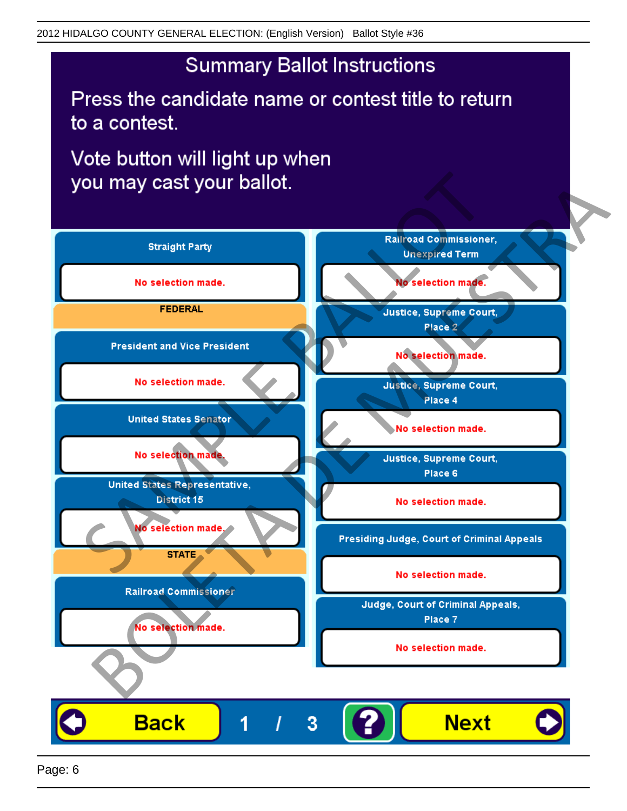# **Summary Ballot Instructions**

Press the candidate name or contest title to return to a contest.

Vote button will light up when

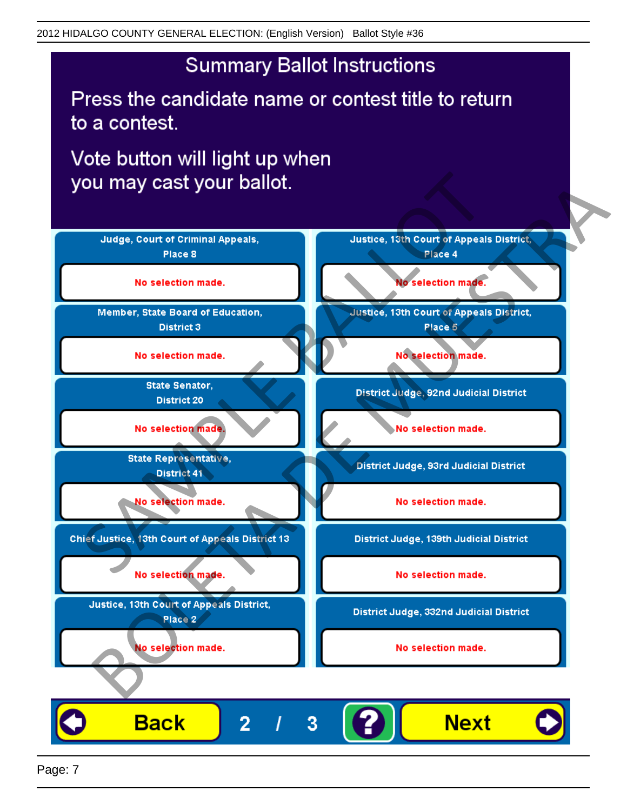## **Summary Ballot Instructions**

Press the candidate name or contest title to return to a contest.

Vote button will light up when